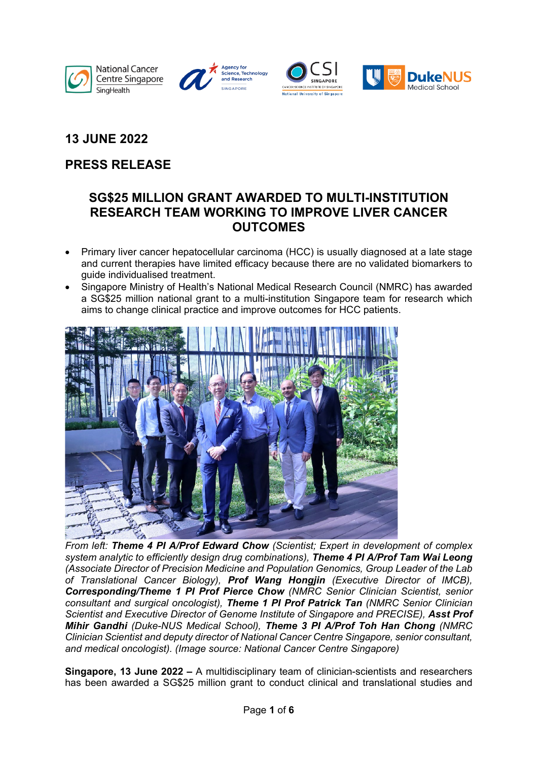







## **13 JUNE 2022**

# **PRESS RELEASE**

## **SG\$25 MILLION GRANT AWARDED TO MULTI-INSTITUTION RESEARCH TEAM WORKING TO IMPROVE LIVER CANCER OUTCOMES**

- Primary liver cancer hepatocellular carcinoma (HCC) is usually diagnosed at a late stage and current therapies have limited efficacy because there are no validated biomarkers to guide individualised treatment.
- Singapore Ministry of Health's National Medical Research Council (NMRC) has awarded a SG\$25 million national grant to a multi-institution Singapore team for research which aims to change clinical practice and improve outcomes for HCC patients.



*From left: Theme 4 PI A/Prof Edward Chow (Scientist; Expert in development of complex system analytic to efficiently design drug combinations), Theme 4 PI A/Prof Tam Wai Leong (Associate Director of Precision Medicine and Population Genomics, Group Leader of the Lab of Translational Cancer Biology), Prof Wang Hongjin (Executive Director of IMCB), Corresponding/Theme 1 PI Prof Pierce Chow (NMRC Senior Clinician Scientist, senior consultant and surgical oncologist), Theme 1 PI Prof Patrick Tan (NMRC Senior Clinician Scientist and Executive Director of Genome Institute of Singapore and PRECISE), Asst Prof Mihir Gandhi (Duke-NUS Medical School), Theme 3 PI A/Prof Toh Han Chong (NMRC Clinician Scientist and deputy director of National Cancer Centre Singapore, senior consultant, and medical oncologist). (Image source: National Cancer Centre Singapore)*

**Singapore, 13 June 2022 –** A multidisciplinary team of clinician-scientists and researchers has been awarded a SG\$25 million grant to conduct clinical and translational studies and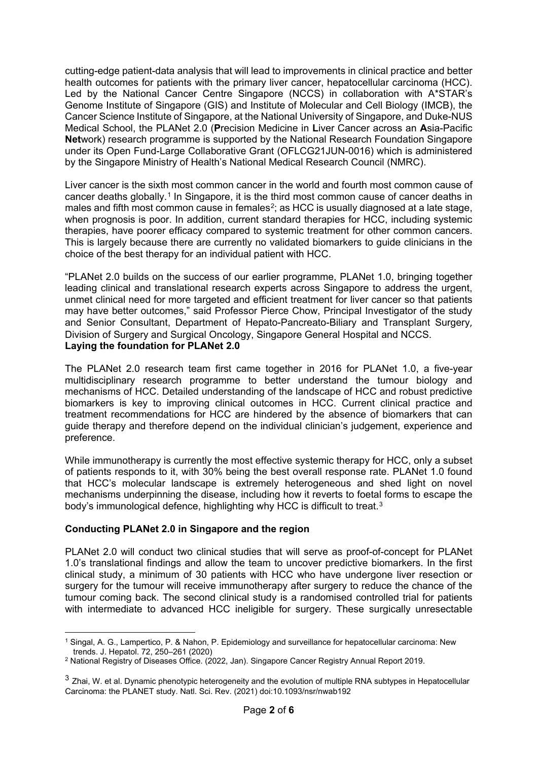cutting-edge patient-data analysis that will lead to improvements in clinical practice and better health outcomes for patients with the primary liver cancer, hepatocellular carcinoma (HCC). Led by the National Cancer Centre Singapore (NCCS) in collaboration with A\*STAR's Genome Institute of Singapore (GIS) and Institute of Molecular and Cell Biology (IMCB), the Cancer Science Institute of Singapore, at the National University of Singapore, and Duke-NUS Medical School, the PLANet 2.0 (**P**recision Medicine in **L**iver Cancer across an **A**sia-Pacific **Net**work) research programme is supported by the National Research Foundation Singapore under its Open Fund-Large Collaborative Grant (OFLCG21JUN-0016) which is administered by the Singapore Ministry of Health's National Medical Research Council (NMRC).

Liver cancer is the sixth most common cancer in the world and fourth most common cause of cancer deaths globally.[1](#page-1-0) In Singapore, it is the third most common cause of cancer deaths in males and fifth most common cause in females<sup>2</sup>; as HCC is usually diagnosed at a late stage, when prognosis is poor. In addition, current standard therapies for HCC, including systemic therapies, have poorer efficacy compared to systemic treatment for other common cancers. This is largely because there are currently no validated biomarkers to guide clinicians in the choice of the best therapy for an individual patient with HCC.

"PLANet 2.0 builds on the success of our earlier programme, PLANet 1.0, bringing together leading clinical and translational research experts across Singapore to address the urgent, unmet clinical need for more targeted and efficient treatment for liver cancer so that patients may have better outcomes," said Professor Pierce Chow, Principal Investigator of the study and Senior Consultant, Department of Hepato-Pancreato-Biliary and Transplant Surgery, Division of Surgery and Surgical Oncology, Singapore General Hospital and NCCS. **Laying the foundation for PLANet 2.0**

The PLANet 2.0 research team first came together in 2016 for PLANet 1.0, a five-year multidisciplinary research programme to better understand the tumour biology and mechanisms of HCC. Detailed understanding of the landscape of HCC and robust predictive biomarkers is key to improving clinical outcomes in HCC. Current clinical practice and treatment recommendations for HCC are hindered by the absence of biomarkers that can guide therapy and therefore depend on the individual clinician's judgement, experience and preference.

While immunotherapy is currently the most effective systemic therapy for HCC, only a subset of patients responds to it, with 30% being the best overall response rate. PLANet 1.0 found that HCC's molecular landscape is extremely heterogeneous and shed light on novel mechanisms underpinning the disease, including how it reverts to foetal forms to escape the body's immunological defence, highlighting why HCC is difficult to treat.<sup>[3](#page-1-2)</sup>

## **Conducting PLANet 2.0 in Singapore and the region**

PLANet 2.0 will conduct two clinical studies that will serve as proof-of-concept for PLANet 1.0's translational findings and allow the team to uncover predictive biomarkers. In the first clinical study, a minimum of 30 patients with HCC who have undergone liver resection or surgery for the tumour will receive immunotherapy after surgery to reduce the chance of the tumour coming back. The second clinical study is a randomised controlled trial for patients with intermediate to advanced HCC ineligible for surgery. These surgically unresectable

<span id="page-1-0"></span>**<sup>.</sup>** <sup>1</sup> Singal, A. G., Lampertico, P. & Nahon, P. Epidemiology and surveillance for hepatocellular carcinoma: New

<span id="page-1-1"></span><sup>&</sup>lt;sup>2</sup> National Registry of Diseases Office. (2022, Jan). Singapore Cancer Registry Annual Report 2019.

<span id="page-1-2"></span> $3$  Zhai, W. et al. Dynamic phenotypic heterogeneity and the evolution of multiple RNA subtypes in Hepatocellular Carcinoma: the PLANET study. Natl. Sci. Rev. (2021) doi:10.1093/nsr/nwab192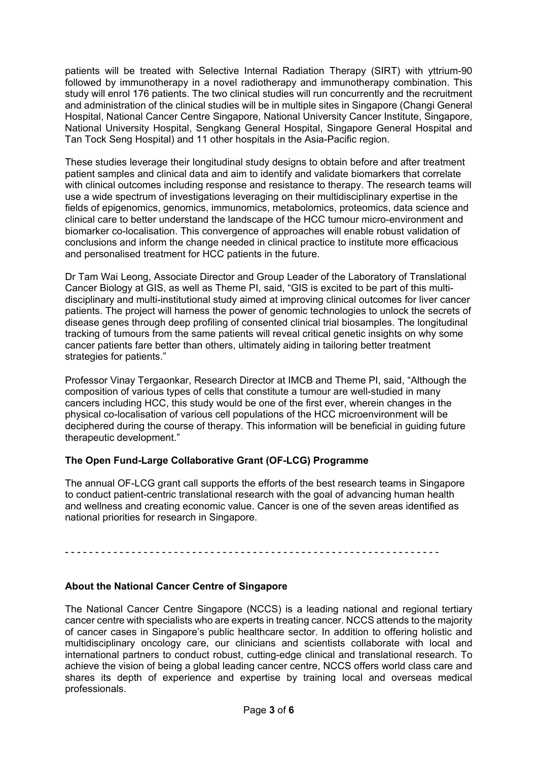patients will be treated with Selective Internal Radiation Therapy (SIRT) with yttrium-90 followed by immunotherapy in a novel radiotherapy and immunotherapy combination. This study will enrol 176 patients. The two clinical studies will run concurrently and the recruitment and administration of the clinical studies will be in multiple sites in Singapore (Changi General Hospital, National Cancer Centre Singapore, National University Cancer Institute, Singapore, National University Hospital, Sengkang General Hospital, Singapore General Hospital and Tan Tock Seng Hospital) and 11 other hospitals in the Asia-Pacific region.

These studies leverage their longitudinal study designs to obtain before and after treatment patient samples and clinical data and aim to identify and validate biomarkers that correlate with clinical outcomes including response and resistance to therapy. The research teams will use a wide spectrum of investigations leveraging on their multidisciplinary expertise in the fields of epigenomics, genomics, immunomics, metabolomics, proteomics, data science and clinical care to better understand the landscape of the HCC tumour micro-environment and biomarker co-localisation. This convergence of approaches will enable robust validation of conclusions and inform the change needed in clinical practice to institute more efficacious and personalised treatment for HCC patients in the future.

Dr Tam Wai Leong, Associate Director and Group Leader of the Laboratory of Translational Cancer Biology at GIS, as well as Theme PI, said, "GIS is excited to be part of this multidisciplinary and multi-institutional study aimed at improving clinical outcomes for liver cancer patients. The project will harness the power of genomic technologies to unlock the secrets of disease genes through deep profiling of consented clinical trial biosamples. The longitudinal tracking of tumours from the same patients will reveal critical genetic insights on why some cancer patients fare better than others, ultimately aiding in tailoring better treatment strategies for patients."

Professor Vinay Tergaonkar, Research Director at IMCB and Theme PI, said, "Although the composition of various types of cells that constitute a tumour are well-studied in many cancers including HCC, this study would be one of the first ever, wherein changes in the physical co-localisation of various cell populations of the HCC microenvironment will be deciphered during the course of therapy. This information will be beneficial in guiding future therapeutic development."

## **The Open Fund-Large Collaborative Grant (OF-LCG) Programme**

The annual OF-LCG grant call supports the efforts of the best research teams in Singapore to conduct patient-centric translational research with the goal of advancing human health and wellness and creating economic value. Cancer is one of the seven areas identified as national priorities for research in Singapore.

- - - - - - - - - - - - - - - - - - - - - - - - - - - - - - - - - - - - - - - - - - - - - - - - - - - - - - - - - - - - - -

## **About the National Cancer Centre of Singapore**

The National Cancer Centre Singapore (NCCS) is a leading national and regional tertiary cancer centre with specialists who are experts in treating cancer. NCCS attends to the majority of cancer cases in Singapore's public healthcare sector. In addition to offering holistic and multidisciplinary oncology care, our clinicians and scientists collaborate with local and international partners to conduct robust, cutting-edge clinical and translational research. To achieve the vision of being a global leading cancer centre, NCCS offers world class care and shares its depth of experience and expertise by training local and overseas medical professionals.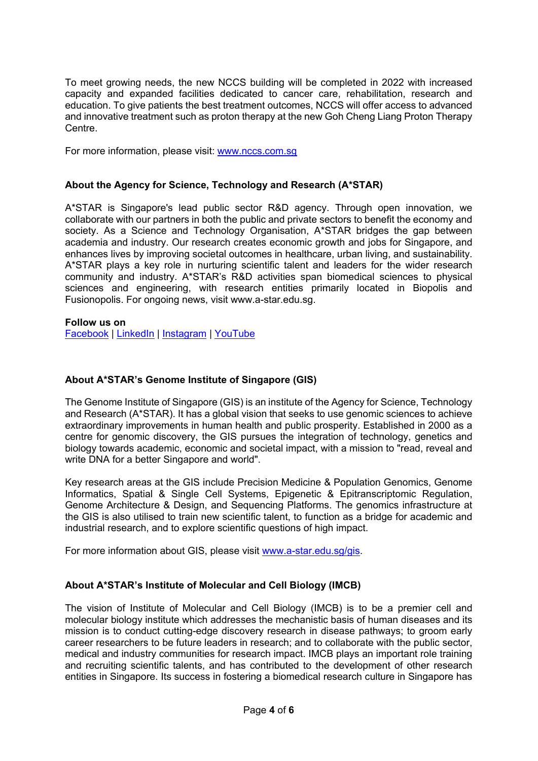To meet growing needs, the new NCCS building will be completed in 2022 with increased capacity and expanded facilities dedicated to cancer care, rehabilitation, research and education. To give patients the best treatment outcomes, NCCS will offer access to advanced and innovative treatment such as proton therapy at the new Goh Cheng Liang Proton Therapy Centre.

For more information, please visit: [www.nccs.com.sg](http://www.nccs.com.sg/) 

#### **About the Agency for Science, Technology and Research (A\*STAR)**

A\*STAR is Singapore's lead public sector R&D agency. Through open innovation, we collaborate with our partners in both the public and private sectors to benefit the economy and society. As a Science and Technology Organisation, A\*STAR bridges the gap between academia and industry. Our research creates economic growth and jobs for Singapore, and enhances lives by improving societal outcomes in healthcare, urban living, and sustainability. A\*STAR plays a key role in nurturing scientific talent and leaders for the wider research community and industry. A\*STAR's R&D activities span biomedical sciences to physical sciences and engineering, with research entities primarily located in Biopolis and Fusionopolis. For ongoing news, visit www.a-star.edu.sg.

#### **Follow us on**

[Facebook](https://www.facebook.com/HQastar/) | [LinkedIn](https://www.linkedin.com/company/a-star) | [Instagram](https://www.instagram.com/astarsingapore/) | [YouTube](https://www.youtube.com/astartv) 

### **About A\*STAR's Genome Institute of Singapore (GIS)**

The Genome Institute of Singapore (GIS) is an institute of the Agency for Science, Technology and Research (A\*STAR). It has a global vision that seeks to use genomic sciences to achieve extraordinary improvements in human health and public prosperity. Established in 2000 as a centre for genomic discovery, the GIS pursues the integration of technology, genetics and biology towards academic, economic and societal impact, with a mission to "read, reveal and write DNA for a better Singapore and world".

Key research areas at the GIS include Precision Medicine & Population Genomics, Genome Informatics, Spatial & Single Cell Systems, Epigenetic & Epitranscriptomic Regulation, Genome Architecture & Design, and Sequencing Platforms. The genomics infrastructure at the GIS is also utilised to train new scientific talent, to function as a bridge for academic and industrial research, and to explore scientific questions of high impact.

For more information about GIS, please visit [www.a-star.edu.sg/gis.](http://www.a-star.edu.sg/gis)

#### **About A\*STAR's Institute of Molecular and Cell Biology (IMCB)**

The vision of Institute of Molecular and Cell Biology (IMCB) is to be a premier cell and molecular biology institute which addresses the mechanistic basis of human diseases and its mission is to conduct cutting-edge discovery research in disease pathways; to groom early career researchers to be future leaders in research; and to collaborate with the public sector, medical and industry communities for research impact. IMCB plays an important role training and recruiting scientific talents, and has contributed to the development of other research entities in Singapore. Its success in fostering a biomedical research culture in Singapore has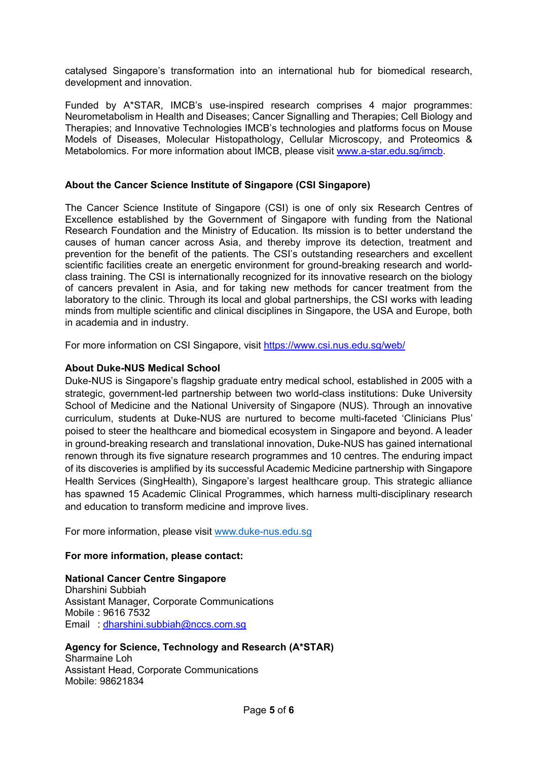catalysed Singapore's transformation into an international hub for biomedical research, development and innovation.

Funded by A\*STAR, IMCB's use-inspired research comprises 4 major programmes: Neurometabolism in Health and Diseases; Cancer Signalling and Therapies; Cell Biology and Therapies; and Innovative Technologies IMCB's technologies and platforms focus on Mouse Models of Diseases, Molecular Histopathology, Cellular Microscopy, and Proteomics & Metabolomics. For more information about IMCB, please visit [www.a-star.edu.sg/imcb.](http://www.a-star.edu.sg/imcb)

#### **About the Cancer Science Institute of Singapore (CSI Singapore)**

The Cancer Science Institute of Singapore (CSI) is one of only six Research Centres of Excellence established by the Government of Singapore with funding from the National Research Foundation and the Ministry of Education. Its mission is to better understand the causes of human cancer across Asia, and thereby improve its detection, treatment and prevention for the benefit of the patients. The CSI's outstanding researchers and excellent scientific facilities create an energetic environment for ground-breaking research and worldclass training. The CSI is internationally recognized for its innovative research on the biology of cancers prevalent in Asia, and for taking new methods for cancer treatment from the laboratory to the clinic. Through its local and global partnerships, the CSI works with leading minds from multiple scientific and clinical disciplines in Singapore, the USA and Europe, both in academia and in industry.

For more information on CSI Singapore, visit<https://www.csi.nus.edu.sg/web/>

### **About Duke-NUS Medical School**

Duke-NUS is Singapore's flagship graduate entry medical school, established in 2005 with a strategic, government-led partnership between two world-class institutions: Duke University School of Medicine and the National University of Singapore (NUS). Through an innovative curriculum, students at Duke-NUS are nurtured to become multi-faceted 'Clinicians Plus' poised to steer the healthcare and biomedical ecosystem in Singapore and beyond. A leader in ground-breaking research and translational innovation, Duke-NUS has gained international renown through its five signature research programmes and 10 centres. The enduring impact of its discoveries is amplified by its successful Academic Medicine partnership with Singapore Health Services (SingHealth), Singapore's largest healthcare group. This strategic alliance has spawned 15 Academic Clinical Programmes, which harness multi-disciplinary research and education to transform medicine and improve lives.

For more information, please visit [www.duke-nus.edu.sg](http://www.duke-nus.edu.sg/)

#### **For more information, please contact:**

## **National Cancer Centre Singapore**

Dharshini Subbiah Assistant Manager, Corporate Communications Mobile : 9616 7532 Email : [dharshini.subbiah@nccs.com.sg](mailto:dharshini.subbiah@nccs.com.sg) 

#### **Agency for Science, Technology and Research (A\*STAR)**

Sharmaine Loh Assistant Head, Corporate Communications Mobile: 98621834